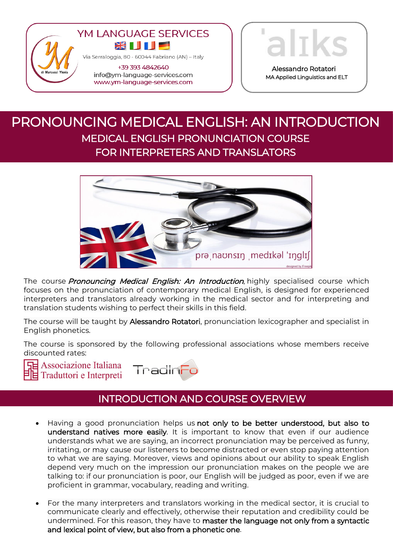

www.ym-language-services.com



Alessandro Rotatori MA Applied Linguistics and ELT

language

# PRONOUNCING MEDICAL ENGLISH: AN INTRODUCTION MEDICAL ENGLISH PRONUNCIATION COURSE FOR INTERPRETERS AND TRANSLATORS



The course **Pronouncing Medical English: An Introduction**, highly specialised course which focuses on the pronunciation of contemporary medical English, is designed for experienced interpreters and translators already working in the medical sector and for interpreting and translation students wishing to perfect their skills in this field.

The course will be taught by Alessandro Rotatori, pronunciation lexicographer and specialist in English phonetics.

The course is sponsored by the following professional associations whose members receive discounted rates:

**F** Associazione Italiana  $\Xi$  Traduttori e Interpreti



## INTRODUCTION AND COURSE OVERVIEW

- Having a good pronunciation helps us not only to be better understood, but also to understand natives more easily. It is important to know that even if our audience understands what we are saying, an incorrect pronunciation may be perceived as funny, irritating, or may cause our listeners to become distracted or even stop paying attention to what we are saying. Moreover, views and opinions about our ability to speak English depend very much on the impression our pronunciation makes on the people we are talking to: if our pronunciation is poor, our English will be judged as poor, even if we are proficient in grammar, vocabulary, reading and writing.
- For the many interpreters and translators working in the medical sector, it is crucial to communicate clearly and effectively, otherwise their reputation and credibility could be undermined. For this reason, they have to master the language not only from a syntactic and lexical point of view, but also from a phonetic one.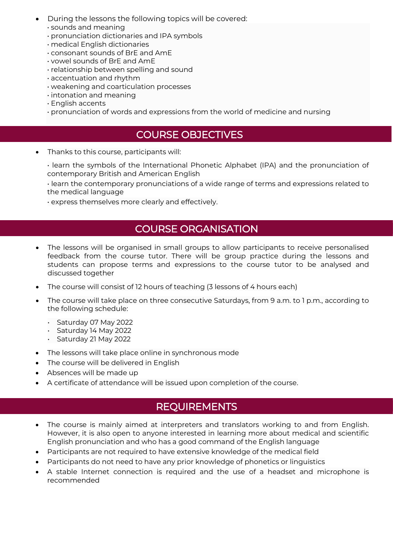- During the lessons the following topics will be covered:
	- sounds and meaning
	- pronunciation dictionaries and IPA symbols
	- medical English dictionaries
	- consonant sounds of BrE and AmE
	- vowel sounds of BrE and AmE
	- relationship between spelling and sound
	- accentuation and rhythm
	- weakening and coarticulation processes
	- intonation and meaning
	- English accents
	- pronunciation of words and expressions from the world of medicine and nursing

#### COURSE OBJECTIVES

Thanks to this course, participants will:

• learn the symbols of the International Phonetic Alphabet (IPA) and the pronunciation of contemporary British and American English

• learn the contemporary pronunciations of a wide range of terms and expressions related to the medical language

• express themselves more clearly and effectively.

#### COURSE ORGANISATION

- The lessons will be organised in small groups to allow participants to receive personalised feedback from the course tutor. There will be group practice during the lessons and students can propose terms and expressions to the course tutor to be analysed and discussed together
- The course will consist of 12 hours of teaching (3 lessons of 4 hours each)
- The course will take place on three consecutive Saturdays, from 9 a.m. to 1 p.m., according to the following schedule:
	- Saturday 07 May 2022
	- Saturday 14 May 2022
	- Saturday 21 May 2022
- The lessons will take place online in synchronous mode
- The course will be delivered in English
- Absences will be made up
- A certificate of attendance will be issued upon completion of the course.

## **REQUIREMENTS**

- The course is mainly aimed at interpreters and translators working to and from English. However, it is also open to anyone interested in learning more about medical and scientific English pronunciation and who has a good command of the English language
- Participants are not required to have extensive knowledge of the medical field
- Participants do not need to have any prior knowledge of phonetics or linguistics
- A stable Internet connection is required and the use of a headset and microphone is recommended